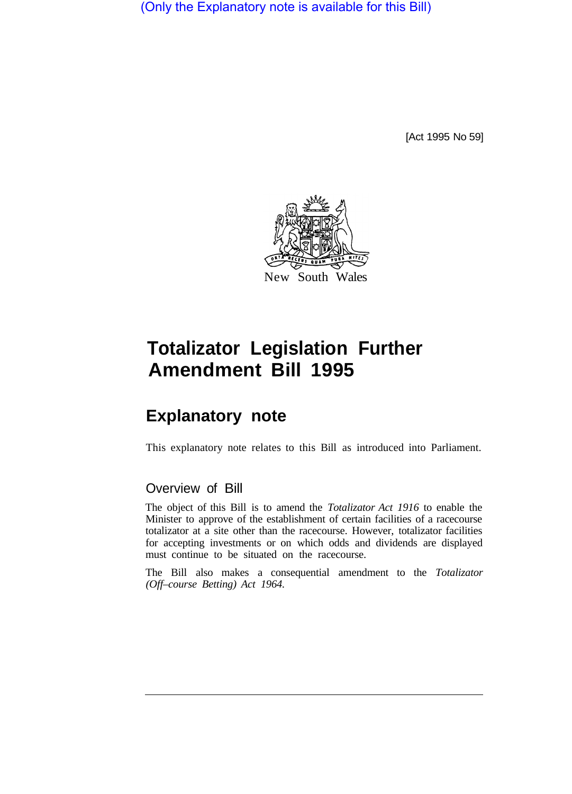(Only the Explanatory note is available for this Bill)

[Act 1995 No 59]



# **Totalizator Legislation Further Amendment Bill 1995**

# **Explanatory note**

This explanatory note relates to this Bill as introduced into Parliament.

#### Overview of Bill

The object of this Bill is to amend the *Totalizator Act 1916* to enable the Minister to approve of the establishment of certain facilities of a racecourse totalizator at a site other than the racecourse. However, totalizator facilities for accepting investments or on which odds and dividends are displayed must continue to be situated on the racecourse.

The Bill also makes a consequential amendment to the *Totalizator (Off–course Betting) Act 1964.*